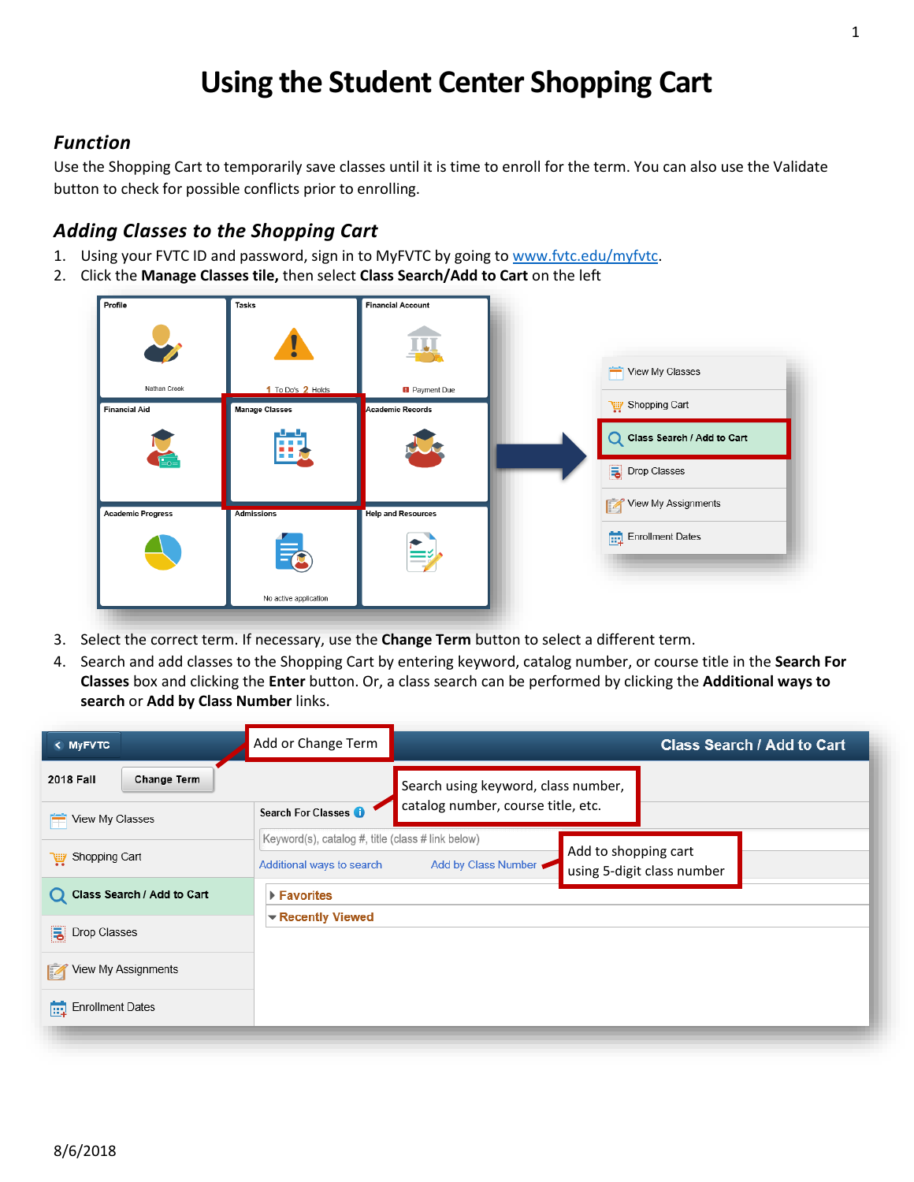# **Using the Student Center Shopping Cart**

### *Function*

Use the Shopping Cart to temporarily save classes until it is time to enroll for the term. You can also use the Validate button to check for possible conflicts prior to enrolling.

## *Adding Classes to the Shopping Cart*

- 1. Using your FVTC ID and password, sign in to MyFVTC by going to [www.fvtc.edu/myfvtc.](http://www.fvtc.edu/myfvtc)
- 2. Click the **Manage Classes tile,** then select **Class Search/Add to Cart** on the left



- 3. Select the correct term. If necessary, use the **Change Term** button to select a different term.
- 4. Search and add classes to the Shopping Cart by entering keyword, catalog number, or course title in the **Search For Classes** box and clicking the **Enter** button. Or, a class search can be performed by clicking the **Additional ways to search** or **Add by Class Number** links.

| < MyFVTC                          | Add or Change Term                                |                                                                           | <b>Class Search / Add to Cart</b> |
|-----------------------------------|---------------------------------------------------|---------------------------------------------------------------------------|-----------------------------------|
| <b>2018 Fall</b><br>Change Term   |                                                   | Search using keyword, class number,                                       |                                   |
| View My Classes<br>m              | Search For Classes <b>O</b>                       | catalog number, course title, etc.                                        |                                   |
|                                   | Keyword(s), catalog #, title (class # link below) |                                                                           |                                   |
| Shopping Cart                     | Additional ways to search                         | Add to shopping cart<br>Add by Class Number<br>using 5-digit class number |                                   |
| Class Search / Add to Cart        | ▶ Favorites                                       |                                                                           |                                   |
| $\overline{5}$ Drop Classes       | $\blacktriangleright$ Recently Viewed             |                                                                           |                                   |
| View My Assignments<br>M          |                                                   |                                                                           |                                   |
| $\boxed{\ldots}$ Enrollment Dates |                                                   |                                                                           |                                   |
|                                   |                                                   |                                                                           |                                   |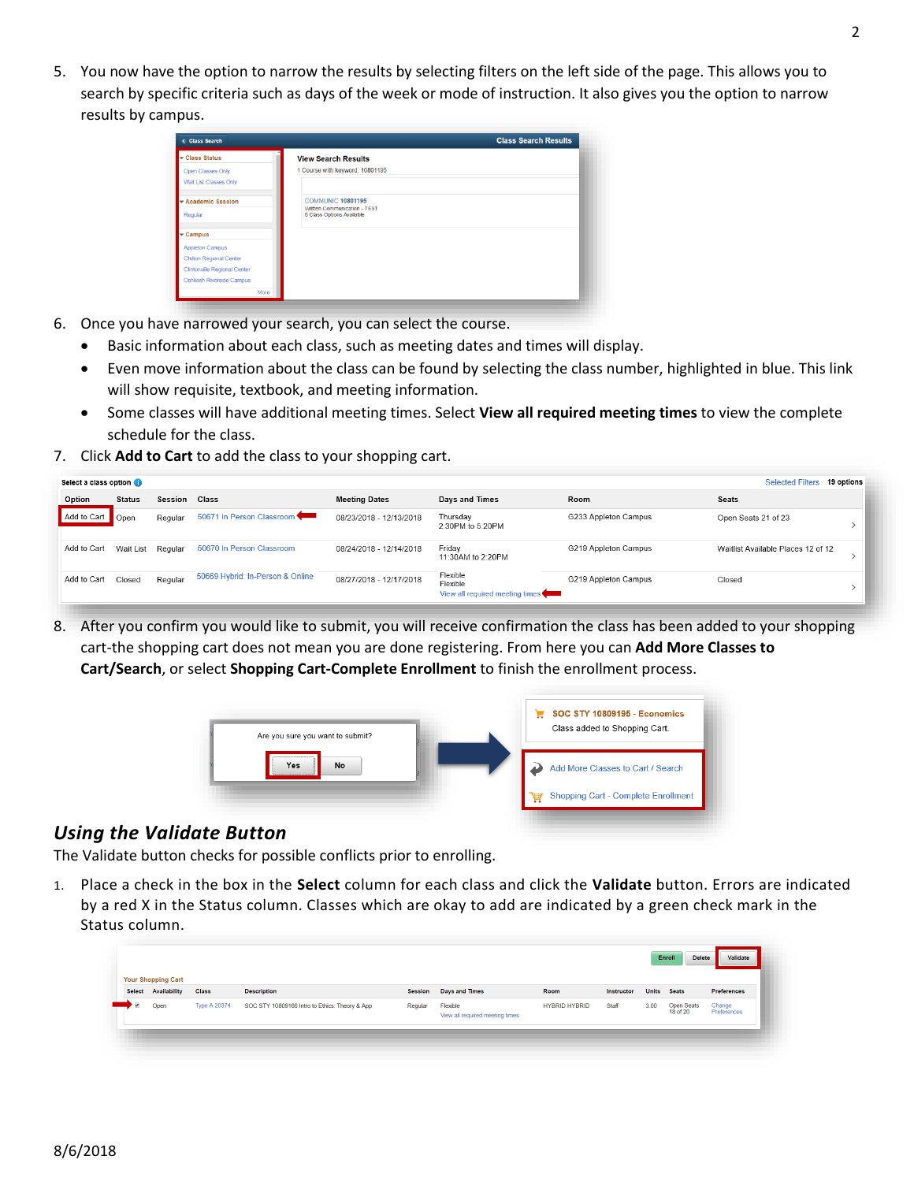5. You now have the option to narrow the results by selecting filters on the left side of the page. This allows you to search by specific criteria such as days of the week or mode of instruction. It also gives you the option to narrow results by campus.

| <b>Class Search</b>                                |                                                                                       | <b>Class Search Results</b> |
|----------------------------------------------------|---------------------------------------------------------------------------------------|-----------------------------|
| Class Status                                       | <b>View Search Results</b>                                                            |                             |
| <b>Open Classes Only</b><br>Wait List Classes Only | 1 Course with keyword: 10801195                                                       |                             |
| Academic Session<br>Regular                        | <b>COMMUNIC 10801195</b><br>Written Communication - TEST<br>6 Class Options Available |                             |
| $\overline{\phantom{a}}$ Campus                    |                                                                                       |                             |
| <b>Appleton Campus</b>                             |                                                                                       |                             |
| <b>Chilton Regional Center</b>                     |                                                                                       |                             |
| <b>Clintonville Regional Center</b>                |                                                                                       |                             |
| <b>Oshkosh Riverside Campus</b>                    |                                                                                       |                             |
| More                                               |                                                                                       |                             |

- 6. Once you have narrowed your search, you can select the course.
	- Basic information about each class, such as meeting dates and times will display.
	- Even move information about the class can be found by selecting the class number, highlighted in blue. This link will show requisite, textbook, and meeting information.
	- Some classes will have additional meeting times. Select **View all required meeting times** to view the complete schedule for the class.
- 7. Click **Add to Cart** to add the class to your shopping cart.

| Select a class option |               |         |                                  |                         |                                                         |                      | <b>Selected Filters</b>            | 19 options |
|-----------------------|---------------|---------|----------------------------------|-------------------------|---------------------------------------------------------|----------------------|------------------------------------|------------|
| Option                | <b>Status</b> | Session | Class                            | <b>Meeting Dates</b>    | Days and Times                                          | Room                 | <b>Seats</b>                       |            |
| Add to Cart           | Open          | Regular | 50671 In Person Classroom        | 08/23/2018 - 12/13/2018 | Thursdav<br>2:30PM to 5:20PM                            | G233 Appleton Campus | Open Seats 21 of 23                |            |
| Add to Cart           | Wait List     | Regular | 50670 In Person Classroom        | 08/24/2018 - 12/14/2018 | Fridav<br>11:30AM to 2:20PM                             | G219 Appleton Campus | Waitlist Available Places 12 of 12 |            |
| Add to Cart           | Closed        | Regular | 50669 Hybrid: In-Person & Online | 08/27/2018 - 12/17/2018 | Flexible<br>Flexible<br>View all required meeting times | G219 Appleton Campus | Closed                             |            |

8. After you confirm you would like to submit, you will receive confirmation the class has been added to your shopping cart-the shopping cart does not mean you are done registering. From here you can **Add More Classes to Cart/Search**, or select **Shopping Cart-Complete Enrollment** to finish the enrollment process.



#### *Using the Validate Button*

The Validate button checks for possible conflicts prior to enrolling.

1. Place a check in the box in the **Select** column for each class and click the **Validate** button. Errors are indicated by a red X in the Status column. Classes which are okay to add are indicated by a green check mark in the Status column.

| Select Availability<br><b>Description</b><br>Preferences<br><b>Class</b><br>Room<br><b>Days and Times</b><br><b>Units</b><br>Session<br>Instructor<br><b>Seats</b><br><b>Type A 20374</b><br><b>Open Seats</b><br>Change<br>SOC STY 10809166 Intro to Ethics: Theory & App<br><b>HYBRID HYBRID</b><br>Staff<br>3.00<br>Flexible<br>Regular<br>Open<br>18 of 20<br>Preferences<br>View all required meeting times | <b>Your Shopping Cart</b> |  |  |  |  | Enroll<br><b>Delete</b> | Validate |
|------------------------------------------------------------------------------------------------------------------------------------------------------------------------------------------------------------------------------------------------------------------------------------------------------------------------------------------------------------------------------------------------------------------|---------------------------|--|--|--|--|-------------------------|----------|
|                                                                                                                                                                                                                                                                                                                                                                                                                  |                           |  |  |  |  |                         |          |
|                                                                                                                                                                                                                                                                                                                                                                                                                  |                           |  |  |  |  |                         |          |